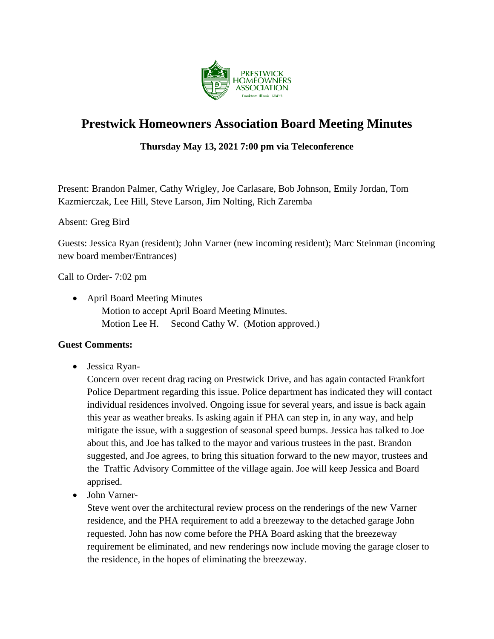

# **Prestwick Homeowners Association Board Meeting Minutes**

# **Thursday May 13, 2021 7:00 pm via Teleconference**

Present: Brandon Palmer, Cathy Wrigley, Joe Carlasare, Bob Johnson, Emily Jordan, Tom Kazmierczak, Lee Hill, Steve Larson, Jim Nolting, Rich Zaremba

#### Absent: Greg Bird

Guests: Jessica Ryan (resident); John Varner (new incoming resident); Marc Steinman (incoming new board member/Entrances)

Call to Order- 7:02 pm

• April Board Meeting Minutes Motion to accept April Board Meeting Minutes. Motion Lee H. Second Cathy W. (Motion approved.)

#### **Guest Comments:**

• Jessica Ryan-

Concern over recent drag racing on Prestwick Drive, and has again contacted Frankfort Police Department regarding this issue. Police department has indicated they will contact individual residences involved. Ongoing issue for several years, and issue is back again this year as weather breaks. Is asking again if PHA can step in, in any way, and help mitigate the issue, with a suggestion of seasonal speed bumps. Jessica has talked to Joe about this, and Joe has talked to the mayor and various trustees in the past. Brandon suggested, and Joe agrees, to bring this situation forward to the new mayor, trustees and the Traffic Advisory Committee of the village again. Joe will keep Jessica and Board apprised.

• John Varner-

Steve went over the architectural review process on the renderings of the new Varner residence, and the PHA requirement to add a breezeway to the detached garage John requested. John has now come before the PHA Board asking that the breezeway requirement be eliminated, and new renderings now include moving the garage closer to the residence, in the hopes of eliminating the breezeway.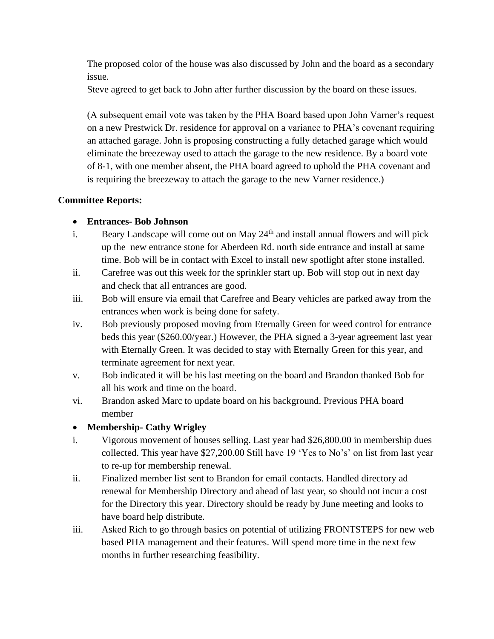The proposed color of the house was also discussed by John and the board as a secondary issue.

Steve agreed to get back to John after further discussion by the board on these issues.

(A subsequent email vote was taken by the PHA Board based upon John Varner's request on a new Prestwick Dr. residence for approval on a variance to PHA's covenant requiring an attached garage. John is proposing constructing a fully detached garage which would eliminate the breezeway used to attach the garage to the new residence. By a board vote of 8-1, with one member absent, the PHA board agreed to uphold the PHA covenant and is requiring the breezeway to attach the garage to the new Varner residence.)

## **Committee Reports:**

## • **Entrances- Bob Johnson**

- i. Beary Landscape will come out on May  $24<sup>th</sup>$  and install annual flowers and will pick up the new entrance stone for Aberdeen Rd. north side entrance and install at same time. Bob will be in contact with Excel to install new spotlight after stone installed.
- ii. Carefree was out this week for the sprinkler start up. Bob will stop out in next day and check that all entrances are good.
- iii. Bob will ensure via email that Carefree and Beary vehicles are parked away from the entrances when work is being done for safety.
- iv. Bob previously proposed moving from Eternally Green for weed control for entrance beds this year (\$260.00/year.) However, the PHA signed a 3-year agreement last year with Eternally Green. It was decided to stay with Eternally Green for this year, and terminate agreement for next year.
- v. Bob indicated it will be his last meeting on the board and Brandon thanked Bob for all his work and time on the board.
- vi. Brandon asked Marc to update board on his background. Previous PHA board member

# • **Membership- Cathy Wrigley**

- i. Vigorous movement of houses selling. Last year had \$26,800.00 in membership dues collected. This year have \$27,200.00 Still have 19 'Yes to No's' on list from last year to re-up for membership renewal.
- ii. Finalized member list sent to Brandon for email contacts. Handled directory ad renewal for Membership Directory and ahead of last year, so should not incur a cost for the Directory this year. Directory should be ready by June meeting and looks to have board help distribute.
- iii. Asked Rich to go through basics on potential of utilizing FRONTSTEPS for new web based PHA management and their features. Will spend more time in the next few months in further researching feasibility.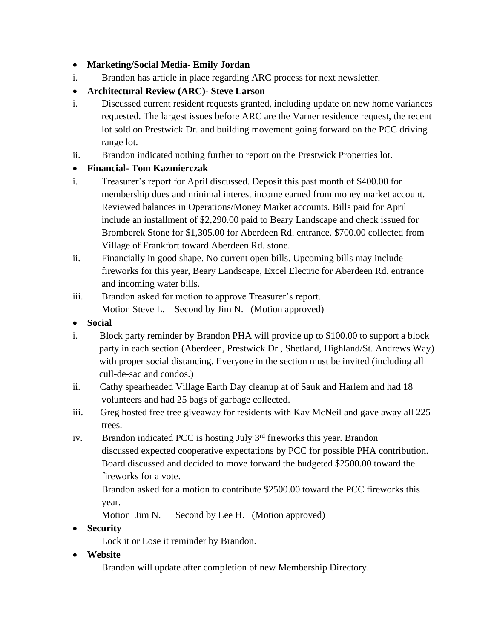# • **Marketing/Social Media- Emily Jordan**

i. Brandon has article in place regarding ARC process for next newsletter.

# • **Architectural Review (ARC)- Steve Larson**

- i. Discussed current resident requests granted, including update on new home variances requested. The largest issues before ARC are the Varner residence request, the recent lot sold on Prestwick Dr. and building movement going forward on the PCC driving range lot.
- ii. Brandon indicated nothing further to report on the Prestwick Properties lot.

## • **Financial- Tom Kazmierczak**

- i. Treasurer's report for April discussed. Deposit this past month of \$400.00 for membership dues and minimal interest income earned from money market account. Reviewed balances in Operations/Money Market accounts. Bills paid for April include an installment of \$2,290.00 paid to Beary Landscape and check issued for Bromberek Stone for \$1,305.00 for Aberdeen Rd. entrance. \$700.00 collected from Village of Frankfort toward Aberdeen Rd. stone.
- ii. Financially in good shape. No current open bills. Upcoming bills may include fireworks for this year, Beary Landscape, Excel Electric for Aberdeen Rd. entrance and incoming water bills.
- iii. Brandon asked for motion to approve Treasurer's report. Motion Steve L. Second by Jim N. (Motion approved)
- **Social**
- i. Block party reminder by Brandon PHA will provide up to \$100.00 to support a block party in each section (Aberdeen, Prestwick Dr., Shetland, Highland/St. Andrews Way) with proper social distancing. Everyone in the section must be invited (including all cull-de-sac and condos.)
- ii. Cathy spearheaded Village Earth Day cleanup at of Sauk and Harlem and had 18 volunteers and had 25 bags of garbage collected.
- iii. Greg hosted free tree giveaway for residents with Kay McNeil and gave away all 225 trees.
- iv. Brandon indicated PCC is hosting July  $3<sup>rd</sup>$  fireworks this year. Brandon discussed expected cooperative expectations by PCC for possible PHA contribution. Board discussed and decided to move forward the budgeted \$2500.00 toward the fireworks for a vote.

 Brandon asked for a motion to contribute \$2500.00 toward the PCC fireworks this year.

Motion Jim N. Second by Lee H. (Motion approved)

# • **Security**

Lock it or Lose it reminder by Brandon.

• **Website** 

Brandon will update after completion of new Membership Directory.